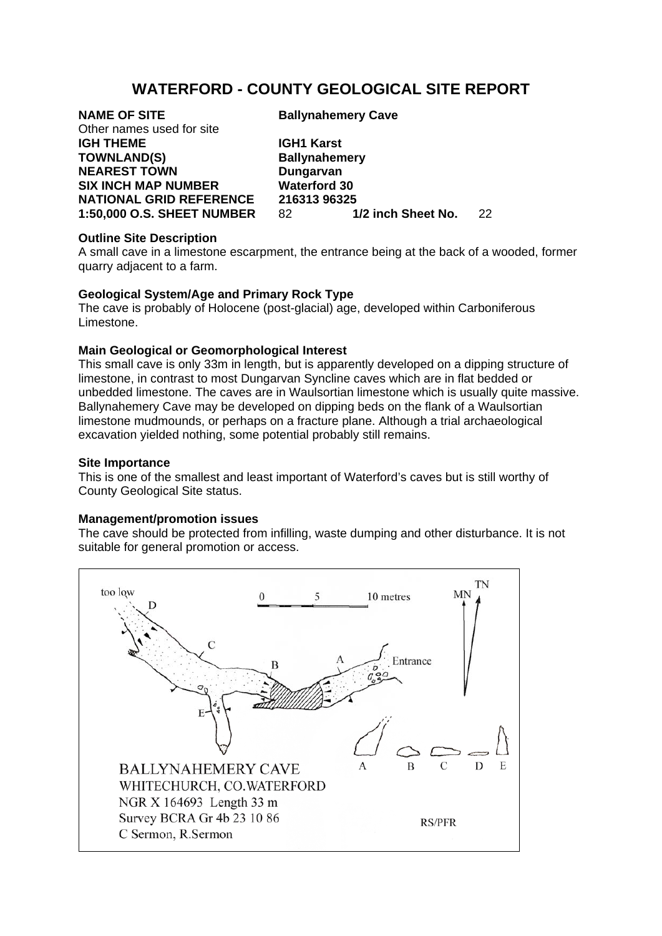# **WATERFORD - COUNTY GEOLOGICAL SITE REPORT**

Other names used for site **IGH THEME IGH1 Karst TOWNLAND(S) Ballynahemery NEAREST TOWN Dungarvan SIX INCH MAP NUMBER Waterford 30** 

**NAME OF SITE Ballynahemery Cave** 

**NATIONAL GRID REFERENCE 216313 96325<br>1:50.000 O.S. SHEET NUMBER 82 1/2 inch Sheet No. 1:50,000 O.S. SHEET NUMBER** 82 **1/2 inch Sheet No.** 22

# **Outline Site Description**

A small cave in a limestone escarpment, the entrance being at the back of a wooded, former quarry adjacent to a farm.

# **Geological System/Age and Primary Rock Type**

The cave is probably of Holocene (post-glacial) age, developed within Carboniferous Limestone.

# **Main Geological or Geomorphological Interest**

This small cave is only 33m in length, but is apparently developed on a dipping structure of limestone, in contrast to most Dungarvan Syncline caves which are in flat bedded or unbedded limestone. The caves are in Waulsortian limestone which is usually quite massive. Ballynahemery Cave may be developed on dipping beds on the flank of a Waulsortian limestone mudmounds, or perhaps on a fracture plane. Although a trial archaeological excavation yielded nothing, some potential probably still remains.

#### **Site Importance**

This is one of the smallest and least important of Waterford's caves but is still worthy of County Geological Site status.

#### **Management/promotion issues**

The cave should be protected from infilling, waste dumping and other disturbance. It is not suitable for general promotion or access.

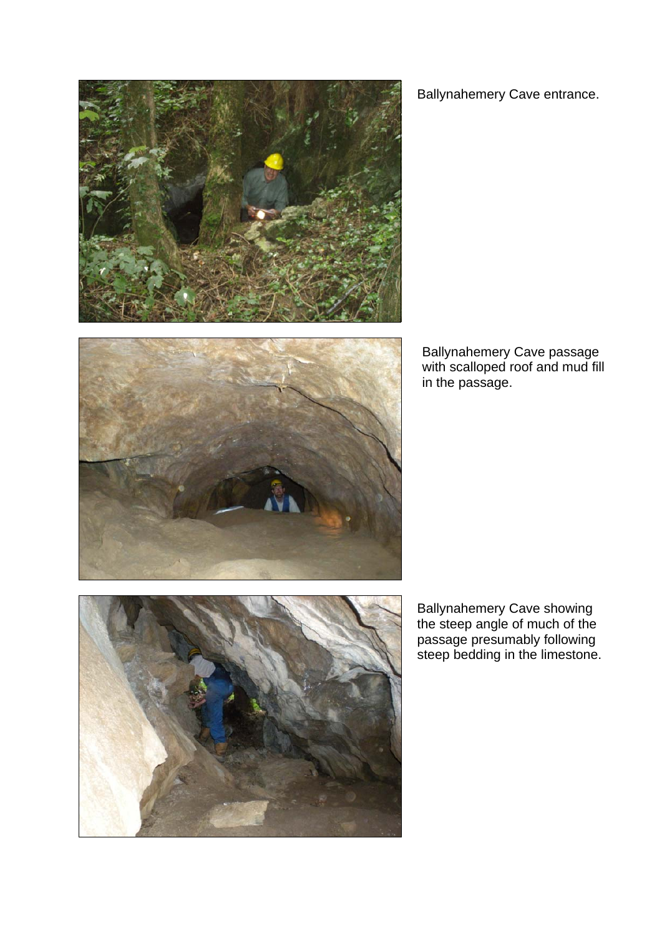

Ballynahemery Cave entrance.



Ballynahemery Cave passage with scalloped roof and mud fill in the passage.



Ballynahemery Cave showing the steep angle of much of the passage presumably following steep bedding in the limestone.